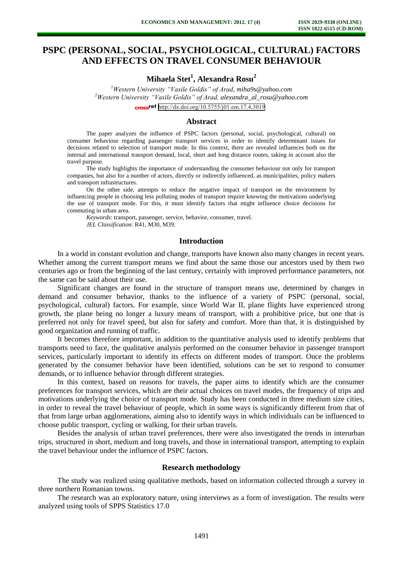# **PSPC (PERSONAL, SOCIAL, PSYCHOLOGICAL, CULTURAL) FACTORS AND EFFECTS ON TRAVEL CONSUMER BEHAVIOUR**

**Mihaela Stet<sup>1</sup> , Alexandra Rosu<sup>2</sup>**

*<sup>1</sup>Western University "Vasile Goldis" of Arad, miha9s@yahoo.com <sup>2</sup>Western University "Vasile Goldis" of Arad, [alexandra\\_al\\_rosu@yahoo.com](mailto:alexandra_al_rosu@yahoo.com)* cross<sup>ref</sup> <http://dx.doi.org/10.5755/j01.em.17.4.3019>

# **Abstract**

The paper analyzes the influence of PSPC factors (personal, social, psychological, cultural) on consumer behaviour regarding passenger transport services in order to identify determinant issues for decisions related to selection of transport mode. In this context, there are revealed influences both on the internal and international transport demand, local, short and long distance routes, taking in account also the travel purpose.

The study highlights the importance of understanding the consumer behaviour not only for transport companies, but also for a number of actors, directly or indirectly influenced, as municipalities, policy makers and transport infrastructures.

On the other side, attempts to reduce the negative impact of transport on the environment by influencing people in choosing less polluting modes of transport require knowing the motivations underlying the use of transport mode. For this, it must identify factors that might influence choice decisions for commuting in urban area.

*Keywords*: transport, passenger, service, behavior, consumer, travel. *JEL Classification*: R41, M30, M39.

# **Introduction**

In a world in constant evolution and change, transports have known also many changes in recent years. Whether among the current transport means we find about the same those our ancestors used by them two centuries ago or from the beginning of the last century, certainly with improved performance parameters, not the same can be said about their use.

Significant changes are found in the structure of transport means use, determined by changes in demand and consumer behavior, thanks to the influence of a variety of PSPC (personal, social, psychological, cultural) factors. For example, since World War II, plane flights have experienced strong growth, the plane being no longer a luxury means of transport, with a prohibitive price, but one that is preferred not only for travel speed, but also for safety and comfort. More than that, it is distinguished by good organization and running of traffic.

It becomes therefore important, in addition to the quantitative analysis used to identify problems that transports need to face, the qualitative analysis performed on the consumer behavior in passenger transport services, particularly important to identify its effects on different modes of transport. Once the problems generated by the consumer behavior have been identified, solutions can be set to respond to consumer demands, or to influence behavior through different strategies.

In this context, based on reasons for travels, the paper aims to identify which are the consumer preferences for transport services, which are their actual choices on travel modes, the frequency of trips and motivations underlying the choice of transport mode. Study has been conducted in three medium size cities, in order to reveal the travel behaviour of people, which in some ways is significantly different from that of that from large urban agglomerations, aiming also to identify ways in which individuals can be influenced to choose public transport, cycling or walking, for their urban travels.

Besides the analysis of urban travel preferences, there were also investigated the trends in interurban trips, structured in short, medium and long travels, and those in international transport, attempting to explain the travel behaviour under the influence of PSPC factors.

#### **Research methodology**

The study was realized using qualitative methods, based on information collected through a survey in three northern Romanian towns.

The research was an exploratory nature, using interviews as a form of investigation. The results were analyzed using tools of SPPS Statistics 17.0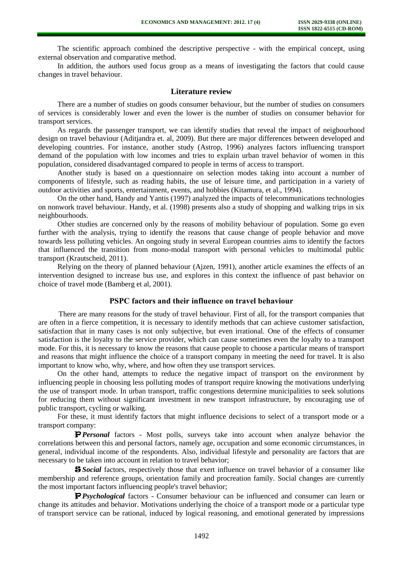The scientific approach combined the descriptive perspective - with the empirical concept, using external observation and comparative method.

In addition, the authors used focus group as a means of investigating the factors that could cause changes in travel behaviour.

# **Literature review**

There are a number of studies on goods consumer behaviour, but the number of studies on consumers of services is considerably lower and even the lower is the number of studies on consumer behavior for transport services.

As regards the passenger transport, we can identify studies that reveal the impact of neigbourhood design on travel behaviour (Aditjandra et. al, 2009). But there are major differences between developed and developing countries. For instance, another study (Astrop, 1996) analyzes factors influencing transport demand of the population with low incomes and tries to explain urban travel behavior of women in this population, considered disadvantaged compared to people in terms of access to transport.

Another study is based on a questionnaire on selection modes taking into account a number of components of lifestyle, such as reading habits, the use of leisure time, and participation in a variety of outdoor activities and sports, entertainment, events, and hobbies (Kitamura, et al., 1994).

On the other hand, Handy and Yantis (1997) analyzed the impacts of telecommunications technologies on nonwork travel behaviour. Handy, et al. (1998) presents also a study of shopping and walking trips in six neighbourhoods.

Other studies are concerned only by the reasons of mobility behaviour of population. Some go even further with the analysis, trying to identify the reasons that cause change of people behavior and move towards less polluting vehicles. An ongoing study in several European countries aims to identify the factors that influenced the transition from mono-modal transport with personal vehicles to multimodal public transport (Krautscheid, 2011).

Relying on the theory of planned behaviour (Ajzen, 1991), another article examines the effects of an intervention designed to increase bus use, and explores in this context the influence of past behavior on choice of travel mode (Bamberg et al, 2001).

# **PSPC factors and their influence on travel behaviour**

There are many reasons for the study of travel behaviour. First of all, for the transport companies that are often in a fierce competition, it is necessary to identify methods that can achieve customer satisfaction, satisfaction that in many cases is not only subjective, but even irrational. One of the effects of consumer satisfaction is the loyalty to the service provider, which can cause sometimes even the loyalty to a transport mode. For this, it is necessary to know the reasons that cause people to choose a particular means of transport and reasons that might influence the choice of a transport company in meeting the need for travel. It is also important to know who, why, where, and how often they use transport services.

On the other hand, attempts to reduce the negative impact of transport on the environment by influencing people in choosing less polluting modes of transport require knowing the motivations underlying the use of transport mode. In urban transport, traffic congestions determine municipalities to seek solutions for reducing them without significant investment in new transport infrastructure, by encouraging use of public transport, cycling or walking.

For these, it must identify factors that might influence decisions to select of a transport mode or a transport company:

**P** *Personal* factors - Most polls, surveys take into account when analyze behavior the correlations between this and personal factors, namely age, occupation and some economic circumstances, in general, individual income of the respondents. Also, individual lifestyle and personality are factors that are necessary to be taken into account in relation to travel behavior;

**S** *Social* factors, respectively those that exert influence on travel behavior of a consumer like membership and reference groups, orientation family and procreation family. Social changes are currently the most important factors influencing people's travel behavior;

**P** *Psychological* factors - Consumer behaviour can be influenced and consumer can learn or change its attitudes and behavior. Motivations underlying the choice of a transport mode or a particular type of transport service can be rational, induced by logical reasoning, and emotional generated by impressions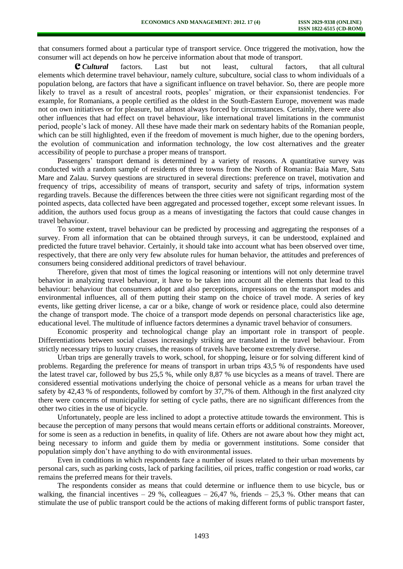that consumers formed about a particular type of transport service. Once triggered the motivation, how the consumer will act depends on how he perceive information about that mode of transport.

C *Cultural* factors. Last but not least, cultural factors, that all cultural elements which determine travel behaviour, namely culture, subculture, social class to whom individuals of a population belong, are factors that have a significant influence on travel behavior. So, there are people more likely to travel as a result of ancestral roots, peoples' migration, or their expansionist tendencies. For example, for Romanians, a people certified as the oldest in the South-Eastern Europe, movement was made not on own initiatives or for pleasure, but almost always forced by circumstances. Certainly, there were also other influences that had effect on travel behaviour, like international travel limitations in the communist period, people's lack of money. All these have made their mark on sedentary habits of the Romanian people, which can be still highlighted, even if the freedom of movement is much higher, due to the opening borders, the evolution of communication and information technology, the low cost alternatives and the greater accessibility of people to purchase a proper means of transport.

Passengers' transport demand is determined by a variety of reasons. A quantitative survey was conducted with a random sample of residents of three towns from the North of Romania: Baia Mare, Satu Mare and Zalau. Survey questions are structured in several directions: preference on travel, motivation and frequency of trips, accessibility of means of transport, security and safety of trips, information system regarding travels. Because the differences between the three cities were not significant regarding most of the pointed aspects, data collected have been aggregated and processed together, except some relevant issues. In addition, the authors used focus group as a means of investigating the factors that could cause changes in travel behaviour.

To some extent, travel behaviour can be predicted by processing and aggregating the responses of a survey. From all information that can be obtained through surveys, it can be understood, explained and predicted the future travel behavior. Certainly, it should take into account what has been observed over time, respectively, that there are only very few absolute rules for human behavior, the attitudes and preferences of consumers being considered additional predictors of travel behaviour.

Therefore, given that most of times the logical reasoning or intentions will not only determine travel behavior in analyzing travel behaviour, it have to be taken into account all the elements that lead to this behaviour: behaviour that consumers adopt and also perceptions, impressions on the transport modes and environmental influences, all of them putting their stamp on the choice of travel mode. A series of key events, like getting driver license, a car or a bike, change of work or residence place, could also determine the change of transport mode. The choice of a transport mode depends on personal characteristics like age, educational level. The multitude of influence factors determines a dynamic travel behavior of consumers.

Economic prosperity and technological change play an important role in transport of people. Differentiations between social classes increasingly striking are translated in the travel behaviour. From strictly necessary trips to luxury cruises, the reasons of travels have become extremely diverse.

Urban trips are generally travels to work, school, for shopping, leisure or for solving different kind of problems. Regarding the preference for means of transport in urban trips 43,5 % of respondents have used the latest travel car, followed by bus 25,5 %, while only 8,87 % use bicycles as a means of travel. There are considered essential motivations underlying the choice of personal vehicle as a means for urban travel the safety by 42,43 % of respondents, followed by comfort by 37,7% of them. Although in the first analyzed city there were concerns of municipality for setting of cycle paths, there are no significant differences from the other two cities in the use of bicycle.

Unfortunately, people are less inclined to adopt a protective attitude towards the environment. This is because the perception of many persons that would means certain efforts or additional constraints. Moreover, for some is seen as a reduction in benefits, in quality of life. Others are not aware about how they might act, being necessary to inform and guide them by media or government institutions. Some consider that population simply don't have anything to do with environmental issues.

Even in conditions in which respondents face a number of issues related to their urban movements by personal cars, such as parking costs, lack of parking facilities, oil prices, traffic congestion or road works, car remains the preferred means for their travels.

The respondents consider as means that could determine or influence them to use bicycle, bus or walking, the financial incentives – 29 %, colleagues – 26,47 %, friends – 25,3 %. Other means that can stimulate the use of public transport could be the actions of making different forms of public transport faster,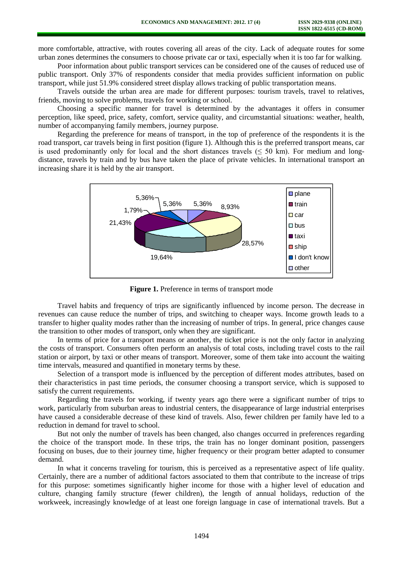more comfortable, attractive, with routes covering all areas of the city. Lack of adequate routes for some urban zones determines the consumers to choose private car or taxi, especially when it is too far for walking.

Poor information about public transport services can be considered one of the causes of reduced use of public transport. Only 37% of respondents consider that media provides sufficient information on public transport, while just 51.9% considered street display allows tracking of public transportation means.

Travels outside the urban area are made for different purposes: tourism travels, travel to relatives, friends, moving to solve problems, travels for working or school.

Choosing a specific manner for travel is determined by the advantages it offers in consumer perception, like speed, price, safety, comfort, service quality, and circumstantial situations: weather, health, number of accompanying family members, journey purpose.

Regarding the preference for means of transport, in the top of preference of the respondents it is the road transport, car travels being in first position (figure 1). Although this is the preferred transport means, car is used predominantly only for local and the short distances travels ( $\leq$  50 km). For medium and longdistance, travels by train and by bus have taken the place of private vehicles. In international transport an increasing share it is held by the air transport.



**Figure 1.** Preference in terms of transport mode

Travel habits and frequency of trips are significantly influenced by income person. The decrease in revenues can cause reduce the number of trips, and switching to cheaper ways. Income growth leads to a transfer to higher quality modes rather than the increasing of number of trips. In general, price changes cause the transition to other modes of transport, only when they are significant.

In terms of price for a transport means or another, the ticket price is not the only factor in analyzing the costs of transport. Consumers often perform an analysis of total costs, including travel costs to the rail station or airport, by taxi or other means of transport. Moreover, some of them take into account the waiting time intervals, measured and quantified in monetary terms by these.

Selection of a transport mode is influenced by the perception of different modes attributes, based on their characteristics in past time periods, the consumer choosing a transport service, which is supposed to satisfy the current requirements.

Regarding the travels for working, if twenty years ago there were a significant number of trips to work, particularly from suburban areas to industrial centers, the disappearance of large industrial enterprises have caused a considerable decrease of these kind of travels. Also, fewer children per family have led to a reduction in demand for travel to school.

But not only the number of travels has been changed, also changes occurred in preferences regarding the choice of the transport mode. In these trips, the train has no longer dominant position, passengers focusing on buses, due to their journey time, higher frequency or their program better adapted to consumer demand.

In what it concerns traveling for tourism, this is perceived as a representative aspect of life quality. Certainly, there are a number of additional factors associated to them that contribute to the increase of trips for this purpose: sometimes significantly higher income for those with a higher level of education and culture, changing family structure (fewer children), the length of annual holidays, reduction of the workweek, increasingly knowledge of at least one foreign language in case of international travels. But a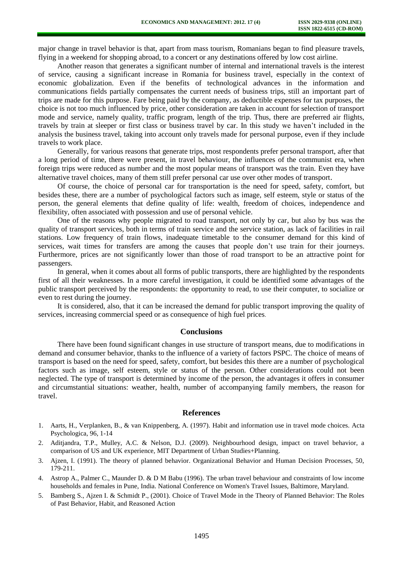major change in travel behavior is that, apart from mass tourism, Romanians began to find pleasure travels, flying in a weekend for shopping abroad, to a concert or any destinations offered by low cost airline.

Another reason that generates a significant number of internal and international travels is the interest of service, causing a significant increase in Romania for business travel, especially in the context of economic globalization. Even if the benefits of technological advances in the information and communications fields partially compensates the current needs of business trips, still an important part of trips are made for this purpose. Fare being paid by the company, as deductible expenses for tax purposes, the choice is not too much influenced by price, other consideration are taken in account for selection of transport mode and service, namely quality, traffic program, length of the trip. Thus, there are preferred air flights, travels by train at sleeper or first class or business travel by car. In this study we haven't included in the analysis the business travel, taking into account only travels made for personal purpose, even if they include travels to work place.

Generally, for various reasons that generate trips, most respondents prefer personal transport, after that a long period of time, there were present, in travel behaviour, the influences of the communist era, when foreign trips were reduced as number and the most popular means of transport was the train. Even they have alternative travel choices, many of them still prefer personal car use over other modes of transport.

Of course, the choice of personal car for transportation is the need for speed, safety, comfort, but besides these, there are a number of psychological factors such as image, self esteem, style or status of the person, the general elements that define quality of life: wealth, freedom of choices, independence and flexibility, often associated with possession and use of personal vehicle.

One of the reasons why people migrated to road transport, not only by car, but also by bus was the quality of transport services, both in terms of train service and the service station, as lack of facilities in rail stations. Low frequency of train flows, inadequate timetable to the consumer demand for this kind of services, wait times for transfers are among the causes that people don't use train for their journeys. Furthermore, prices are not significantly lower than those of road transport to be an attractive point for passengers.

In general, when it comes about all forms of public transports, there are highlighted by the respondents first of all their weaknesses. In a more careful investigation, it could be identified some advantages of the public transport perceived by the respondents: the opportunity to read, to use their computer, to socialize or even to rest during the journey.

It is considered, also, that it can be increased the demand for public transport improving the quality of services, increasing commercial speed or as consequence of high fuel prices.

#### **Conclusions**

There have been found significant changes in use structure of transport means, due to modifications in demand and consumer behavior, thanks to the influence of a variety of factors PSPC. The choice of means of transport is based on the need for speed, safety, comfort, but besides this there are a number of psychological factors such as image, self esteem, style or status of the person. Other considerations could not been neglected. The type of transport is determined by income of the person, the advantages it offers in consumer and circumstantial situations: weather, health, number of accompanying family members, the reason for travel.

#### **References**

- 1. Aarts, H., Verplanken, B., & van Knippenberg, A. (1997). Habit and information use in travel mode choices. Acta Psychologica, 96, 1-14
- 2. Aditjandra, T.P., Mulley, A.C. & Nelson, D.J. (2009). Neighbourhood design, impact on travel behavior, a comparison of US and UK experience, MIT Department of Urban Studies+Planning.
- 3. Ajzen, I. (1991). The theory of planned behavior. Organizational Behavior and Human Decision Processes, 50, 179-211.
- 4. Astrop A., Palmer C., Maunder D. & D M Babu (1996). The urban travel behaviour and constraints of low income households and females in Pune, India. National Conference on Women's Travel Issues, Baltimore, Maryland.
- 5. Bamberg S., Ajzen I. & Schmidt P., (2001). Choice of Travel Mode in the Theory of Planned Behavior: The Roles of Past Behavior, Habit, and Reasoned Action